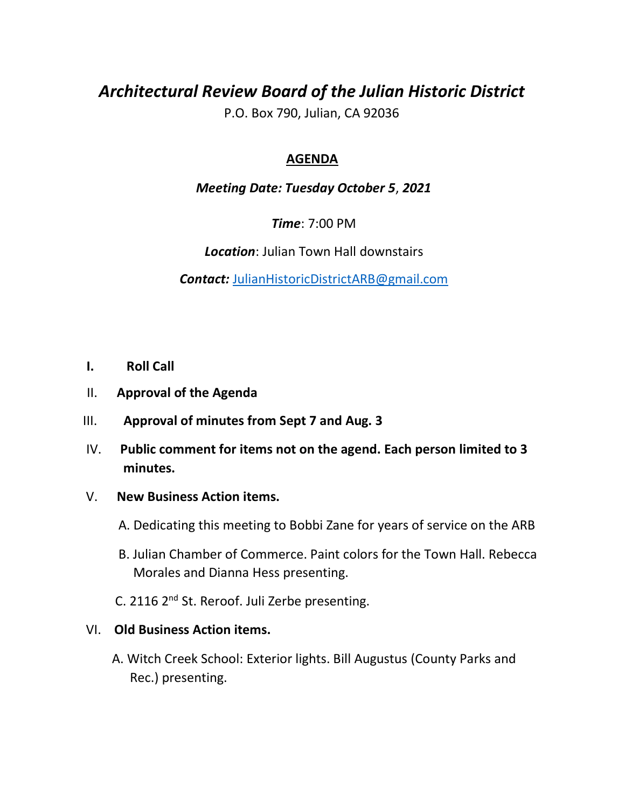# *Architectural Review Board of the Julian Historic District*

P.O. Box 790, Julian, CA 92036

## **AGENDA**

### *Meeting Date: Tuesday October 5*, *2021*

*Time*: 7:00 PM

*Location*: Julian Town Hall downstairs

*Contact:* JulianHistoricDistrictARB@gmail.com

- **I. Roll Call**
- II. **Approval of the Agenda**
- III. **Approval of minutes from Sept 7 and Aug. 3**
- IV. **Public comment for items not on the agend. Each person limited to 3 minutes.**

#### V. **New Business Action items.**

A. Dedicating this meeting to Bobbi Zane for years of service on the ARB

- B. Julian Chamber of Commerce. Paint colors for the Town Hall. Rebecca Morales and Dianna Hess presenting.
- C. 2116 2<sup>nd</sup> St. Reroof. Juli Zerbe presenting.

#### VI. **Old Business Action items.**

 A. Witch Creek School: Exterior lights. Bill Augustus (County Parks and Rec.) presenting.